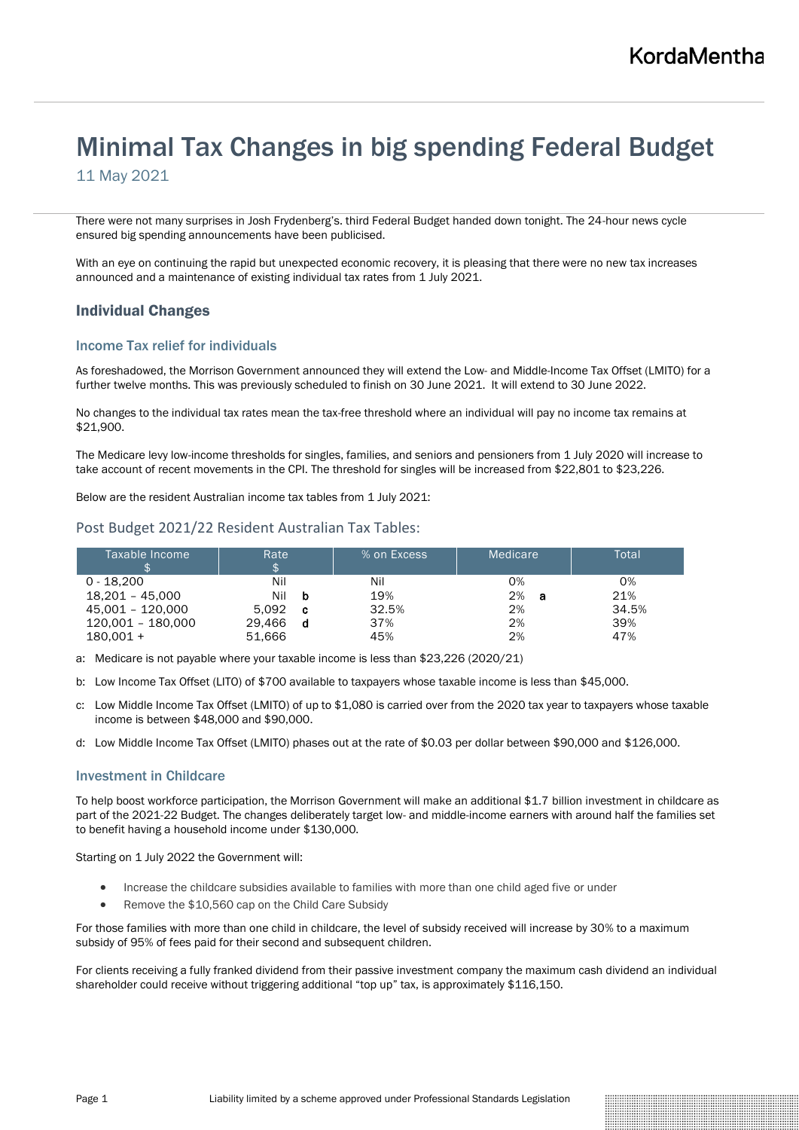# Minimal Tax Changes in big spending Federal Budget

11 May 2021

There were not many surprises in Josh Frydenberg's. third Federal Budget handed down tonight. The 24-hour news cycle ensured big spending announcements have been publicised.

With an eye on continuing the rapid but unexpected economic recovery, it is pleasing that there were no new tax increases announced and a maintenance of existing individual tax rates from 1 July 2021.

# Individual Changes

# Income Tax relief for individuals

As foreshadowed, the Morrison Government announced they will extend the Low- and Middle-Income Tax Offset (LMITO) for a further twelve months. This was previously scheduled to finish on 30 June 2021. It will extend to 30 June 2022.

No changes to the individual tax rates mean the tax-free threshold where an individual will pay no income tax remains at \$21,900.

The Medicare levy low-income thresholds for singles, families, and seniors and pensioners from 1 July 2020 will increase to take account of recent movements in the CPI. The threshold for singles will be increased from \$22,801 to \$23,226.

Below are the resident Australian income tax tables from 1 July 2021:

# Post Budget 2021/22 Resident Australian Tax Tables:

| Taxable Income<br>æ | Rate              | % on Excess | Medicare | Total |
|---------------------|-------------------|-------------|----------|-------|
| $0 - 18.200$        | Nil               | Nil         | 0%       | 0%    |
| $18.201 - 45.000$   | Nil<br>b          | 19%         | 2%<br>а  | 21%   |
| 45.001 - 120.000    | 5.092<br><b>C</b> | 32.5%       | 2%       | 34.5% |
| 120.001 - 180.000   | 29.466<br>d       | 37%         | 2%       | 39%   |
| $180.001 +$         | 51.666            | 45%         | 2%       | 47%   |

a: Medicare is not payable where your taxable income is less than \$23,226 (2020/21)

b: Low Income Tax Offset (LITO) of \$700 available to taxpayers whose taxable income is less than \$45,000.

c: Low Middle Income Tax Offset (LMITO) of up to \$1,080 is carried over from the 2020 tax year to taxpayers whose taxable income is between \$48,000 and \$90,000.

d: Low Middle Income Tax Offset (LMITO) phases out at the rate of \$0.03 per dollar between \$90,000 and \$126,000.

# Investment in Childcare

To help boost workforce participation, the Morrison Government will make an additional \$1.7 billion investment in childcare as part of the 2021-22 Budget. The changes deliberately target low- and middle-income earners with around half the families set to benefit having a household income under \$130,000.

Starting on 1 July 2022 the Government will:

- Increase the childcare subsidies available to families with more than one child aged five or under
- Remove the \$10,560 cap on the Child Care Subsidy

For those families with more than one child in childcare, the level of subsidy received will increase by 30% to a maximum subsidy of 95% of fees paid for their second and subsequent children.

For clients receiving a fully franked dividend from their passive investment company the maximum cash dividend an individual shareholder could receive without triggering additional "top up" tax, is approximately \$116,150.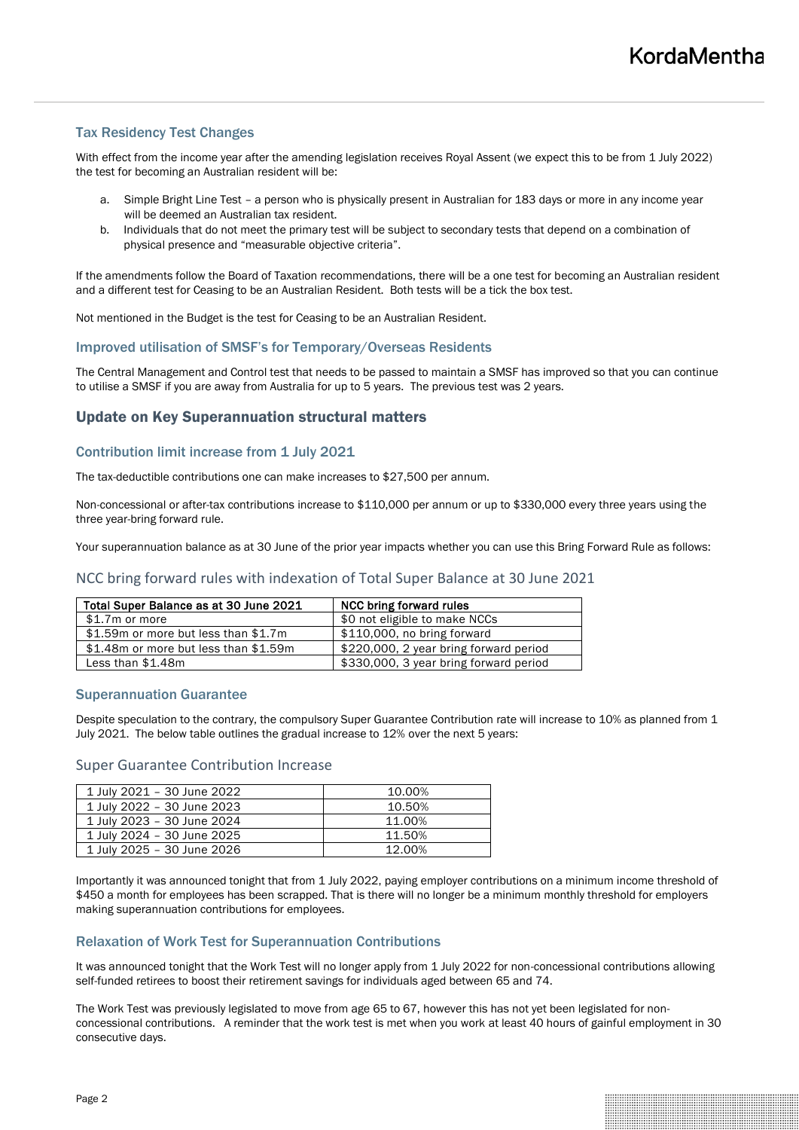# Tax Residency Test Changes

With effect from the income year after the amending legislation receives Royal Assent (we expect this to be from 1 July 2022) the test for becoming an Australian resident will be:

- a. Simple Bright Line Test a person who is physically present in Australian for 183 days or more in any income year will be deemed an Australian tax resident.
- b. Individuals that do not meet the primary test will be subject to secondary tests that depend on a combination of physical presence and "measurable objective criteria".

If the amendments follow the Board of Taxation recommendations, there will be a one test for becoming an Australian resident and a different test for Ceasing to be an Australian Resident. Both tests will be a tick the box test.

Not mentioned in the Budget is the test for Ceasing to be an Australian Resident.

## Improved utilisation of SMSF's for Temporary/Overseas Residents

The Central Management and Control test that needs to be passed to maintain a SMSF has improved so that you can continue to utilise a SMSF if you are away from Australia for up to 5 years. The previous test was 2 years.

# Update on Key Superannuation structural matters

# Contribution limit increase from 1 July 2021

The tax-deductible contributions one can make increases to \$27,500 per annum.

Non-concessional or after-tax contributions increase to \$110,000 per annum or up to \$330,000 every three years using the three year-bring forward rule.

Your superannuation balance as at 30 June of the prior year impacts whether you can use this Bring Forward Rule as follows:

# NCC bring forward rules with indexation of Total Super Balance at 30 June 2021

| Total Super Balance as at 30 June 2021 | <b>NCC bring forward rules</b>         |
|----------------------------------------|----------------------------------------|
| \$1.7m or more                         | \$0 not eligible to make NCCs          |
| \$1.59m or more but less than \$1.7m   | \$110,000, no bring forward            |
| \$1.48m or more but less than \$1.59m  | \$220,000, 2 year bring forward period |
| Less than \$1.48m                      | \$330,000, 3 year bring forward period |

#### Superannuation Guarantee

Despite speculation to the contrary, the compulsory Super Guarantee Contribution rate will increase to 10% as planned from 1 July 2021. The below table outlines the gradual increase to 12% over the next 5 years:

## Super Guarantee Contribution Increase

| 1 July 2021 - 30 June 2022 | 10.00% |
|----------------------------|--------|
| 1 July 2022 - 30 June 2023 | 10.50% |
| 1 July 2023 - 30 June 2024 | 11.00% |
| 1 July 2024 - 30 June 2025 | 11.50% |
| 1 July 2025 - 30 June 2026 | 12.00% |

Importantly it was announced tonight that from 1 July 2022, paying employer contributions on a minimum income threshold of \$450 a month for employees has been scrapped. That is there will no longer be a minimum monthly threshold for employers making superannuation contributions for employees.

#### Relaxation of Work Test for Superannuation Contributions

It was announced tonight that the Work Test will no longer apply from 1 July 2022 for non-concessional contributions allowing self-funded retirees to boost their retirement savings for individuals aged between 65 and 74.

The Work Test was previously legislated to move from age 65 to 67, however this has not yet been legislated for nonconcessional contributions. A reminder that the work test is met when you work at least 40 hours of gainful employment in 30 consecutive days.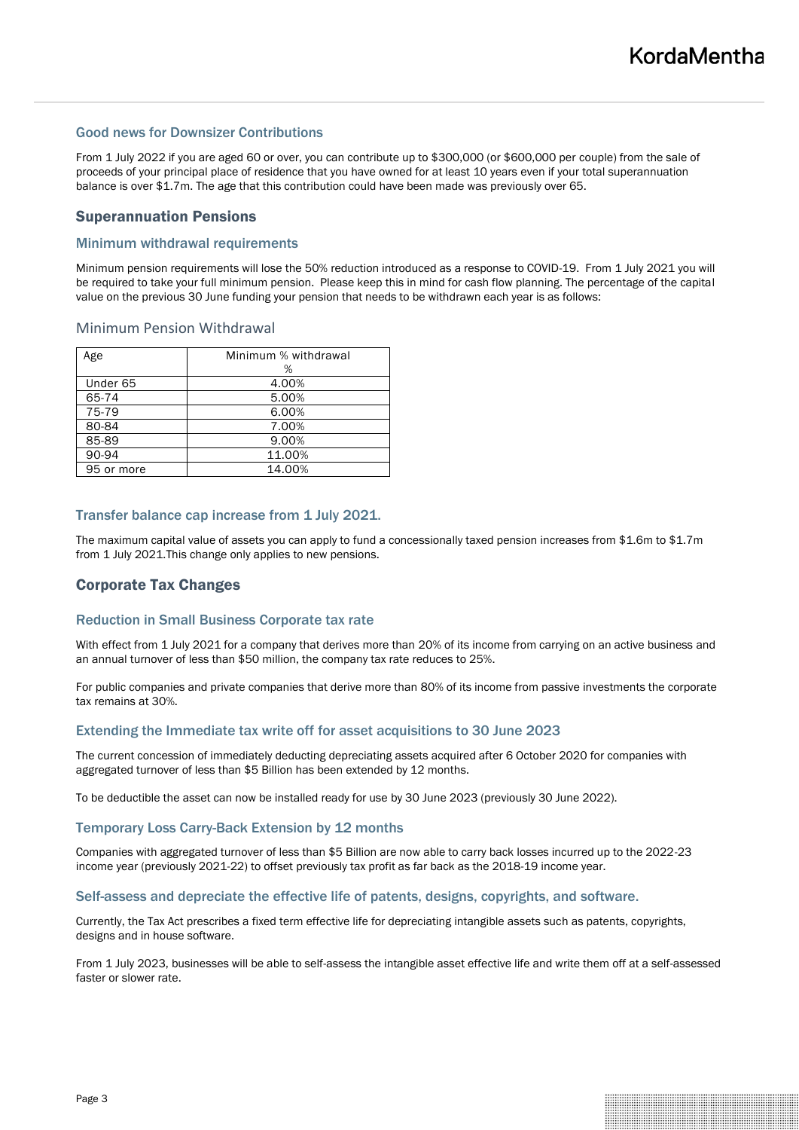## Good news for Downsizer Contributions

From 1 July 2022 if you are aged 60 or over, you can contribute up to \$300,000 (or \$600,000 per couple) from the sale of proceeds of your principal place of residence that you have owned for at least 10 years even if your total superannuation balance is over \$1.7m. The age that this contribution could have been made was previously over 65.

# Superannuation Pensions

### Minimum withdrawal requirements

Minimum pension requirements will lose the 50% reduction introduced as a response to COVID-19. From 1 July 2021 you will be required to take your full minimum pension. Please keep this in mind for cash flow planning. The percentage of the capital value on the previous 30 June funding your pension that needs to be withdrawn each year is as follows:

## Minimum Pension Withdrawal

| Age        | Minimum % withdrawal |  |
|------------|----------------------|--|
|            | %                    |  |
| Under 65   | 4.00%                |  |
| 65-74      | 5.00%                |  |
| 75-79      | 6.00%                |  |
| 80-84      | 7.00%                |  |
| 85-89      | 9.00%                |  |
| 90-94      | 11.00%               |  |
| 95 or more | 14.00%               |  |

#### Transfer balance cap increase from 1 July 2021.

The maximum capital value of assets you can apply to fund a concessionally taxed pension increases from \$1.6m to \$1.7m from 1 July 2021.This change only applies to new pensions.

# Corporate Tax Changes

#### Reduction in Small Business Corporate tax rate

With effect from 1 July 2021 for a company that derives more than 20% of its income from carrying on an active business and an annual turnover of less than \$50 million, the company tax rate reduces to 25%.

For public companies and private companies that derive more than 80% of its income from passive investments the corporate tax remains at 30%.

#### Extending the Immediate tax write off for asset acquisitions to 30 June 2023

The current concession of immediately deducting depreciating assets acquired after 6 October 2020 for companies with aggregated turnover of less than \$5 Billion has been extended by 12 months.

To be deductible the asset can now be installed ready for use by 30 June 2023 (previously 30 June 2022).

### Temporary Loss Carry-Back Extension by 12 months

Companies with aggregated turnover of less than \$5 Billion are now able to carry back losses incurred up to the 2022-23 income year (previously 2021-22) to offset previously tax profit as far back as the 2018-19 income year.

#### Self-assess and depreciate the effective life of patents, designs, copyrights, and software.

Currently, the Tax Act prescribes a fixed term effective life for depreciating intangible assets such as patents, copyrights, designs and in house software.

From 1 July 2023, businesses will be able to self-assess the intangible asset effective life and write them off at a self-assessed faster or slower rate.